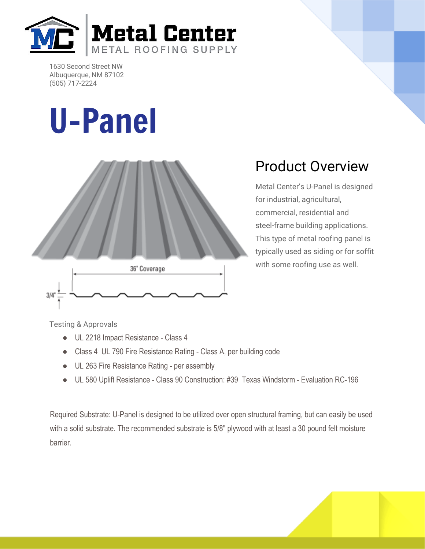

1630 Second Street NW Albuquerque, NM 87102 (505) 717-2224

# U-Panel



## Product Overview

Metal Center's U-Panel is designed for industrial, agricultural, commercial, residential and steel-frame building applications. This type of metal roofing panel is typically used as siding or for soffit with some roofing use as well.

Testing & Approvals

- UL 2218 Impact Resistance Class 4
- Class 4 UL 790 Fire Resistance Rating Class A, per building code
- UL 263 Fire Resistance Rating per assembly
- UL 580 Uplift Resistance Class 90 Construction: #39 Texas Windstorm Evaluation RC-196

Required Substrate: U-Panel is designed to be utilized over open structural framing, but can easily be used with a solid substrate. The recommended substrate is 5/8" plywood with at least a 30 pound felt moisture barrier.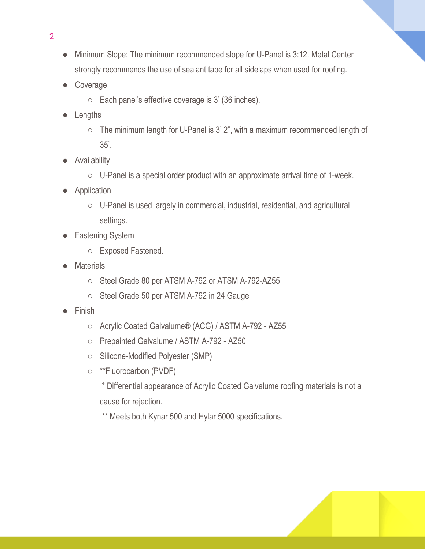- Minimum Slope: The minimum recommended slope for U-Panel is 3:12. Metal Center strongly recommends the use of sealant tape for all sidelaps when used for roofing.
- Coverage
	- $\circ$  Each panel's effective coverage is 3' (36 inches).
- Lengths
	- $\circ$  The minimum length for U-Panel is 3' 2", with a maximum recommended length of 35'.
- Availability
	- U-Panel is a special order product with an approximate arrival time of 1-week.
- Application
	- U-Panel is used largely in commercial, industrial, residential, and agricultural settings.
- **Fastening System** 
	- Exposed Fastened.
- **Materials** 
	- Steel Grade 80 per ATSM A-792 or ATSM A-792-AZ55
	- Steel Grade 50 per ATSM A-792 in 24 Gauge
- **Finish** 
	- Acrylic Coated Galvalume® (ACG) / ASTM A-792 AZ55
	- Prepainted Galvalume / ASTM A-792 AZ50
	- Silicone-Modified Polyester (SMP)
	- \*\*Fluorocarbon (PVDF)
		- \* Differential appearance of Acrylic Coated Galvalume roofing materials is not a cause for rejection.

\*\* Meets both Kynar 500 and Hylar 5000 specifications.